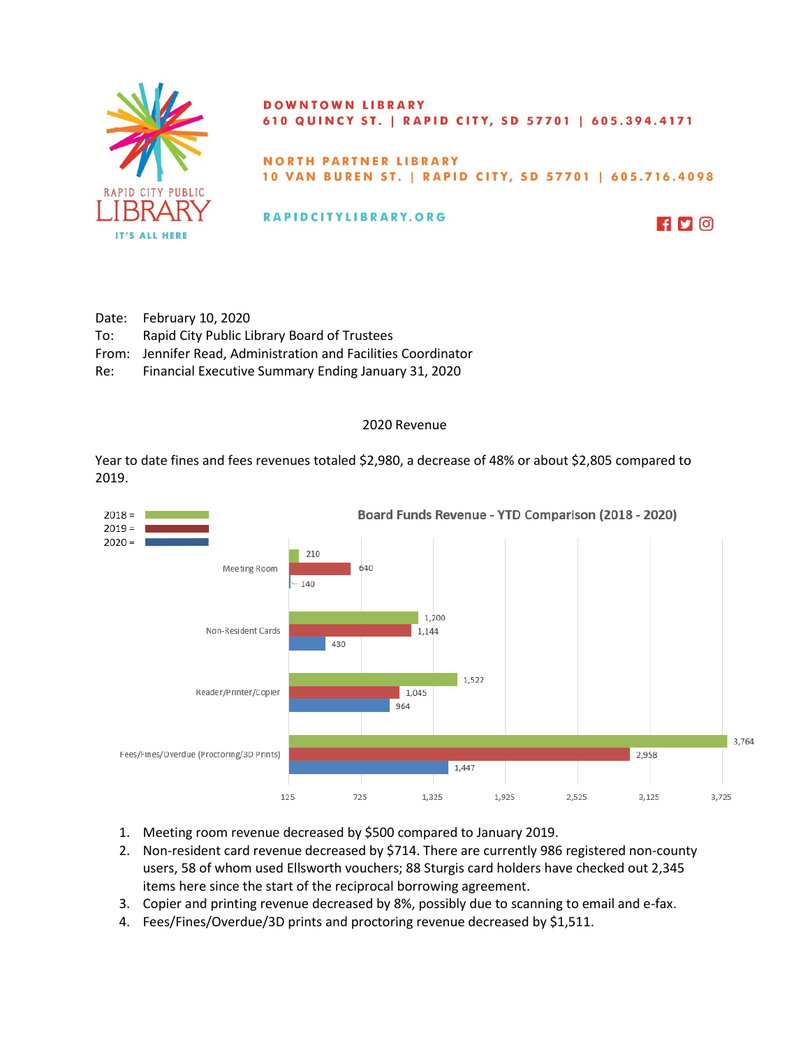

### **DOWNTOWN LIBRARY** 610 QUINCY ST. | RAPID CITY, SD 57701 | 605.394.4171

**NORTH PARTNER LIBRARY** 10 VAN BUREN ST. | RAPID CITY, SD 57701 | 605.716.4098

RAPIDCITYLIBRARY.ORG



Date: February 10, 2020 To: Rapid City Public Library Board of Trustees From: Jennifer Read, Administration and Facilities Coordinator Re: Financial Executive Summary Ending January 31, 2020

## 2020 Revenue

Year to date fines and fees revenues totaled \$2,980, a decrease of 48% or about \$2,805 compared to 2019.



- 1. Meeting room revenue decreased by \$500 compared to January 2019.
- 2. Non-resident card revenue decreased by \$714. There are currently 986 registered non-county users, 58 of whom used Ellsworth vouchers; 88 Sturgis card holders have checked out 2,345 items here since the start of the reciprocal borrowing agreement.
- 3. Copier and printing revenue decreased by 8%, possibly due to scanning to email and e-fax.
- 4. Fees/Fines/Overdue/3D prints and proctoring revenue decreased by \$1,511.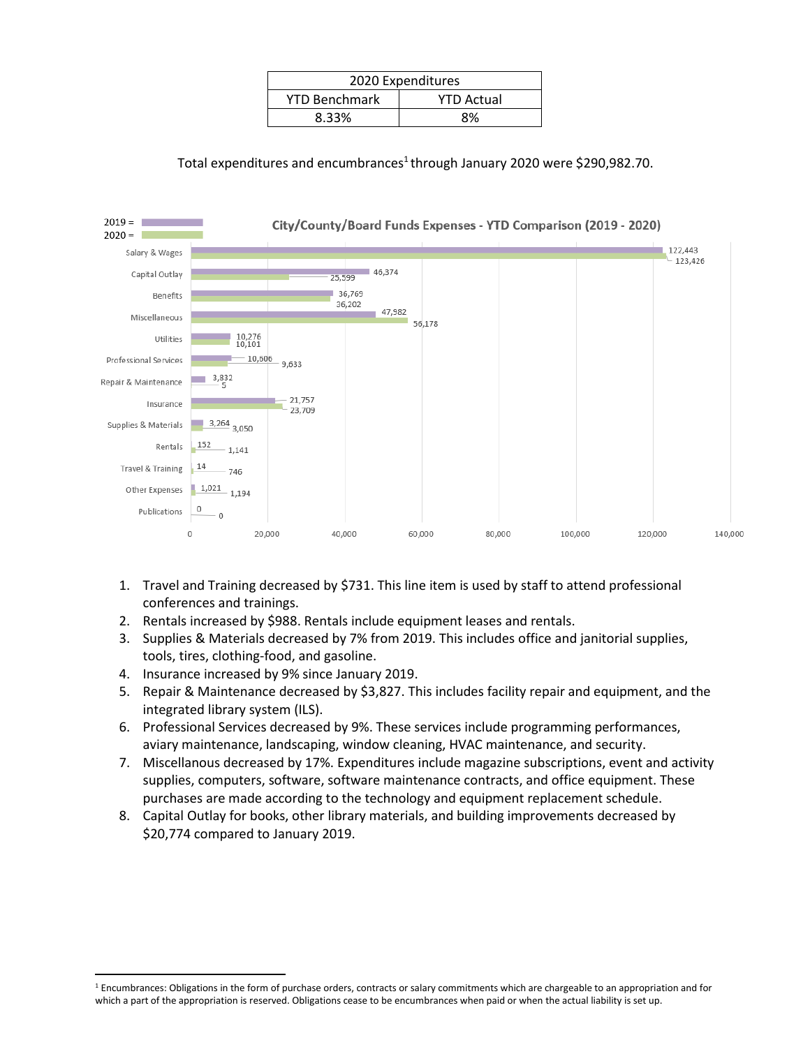| 2020 Expenditures    |                   |  |  |  |
|----------------------|-------------------|--|--|--|
| <b>YTD Benchmark</b> | <b>YTD Actual</b> |  |  |  |
| 8.33%                | 8%                |  |  |  |

## Total expenditures and encumbrances<sup>1</sup> through January 2020 were \$290,982.70.



- 1. Travel and Training decreased by \$731. This line item is used by staff to attend professional conferences and trainings.
- 2. Rentals increased by \$988. Rentals include equipment leases and rentals.
- 3. Supplies & Materials decreased by 7% from 2019. This includes office and janitorial supplies, tools, tires, clothing-food, and gasoline.
- 4. Insurance increased by 9% since January 2019.

 $\overline{a}$ 

- 5. Repair & Maintenance decreased by \$3,827. This includes facility repair and equipment, and the integrated library system (ILS).
- 6. Professional Services decreased by 9%. These services include programming performances, aviary maintenance, landscaping, window cleaning, HVAC maintenance, and security.
- 7. Miscellanous decreased by 17%. Expenditures include magazine subscriptions, event and activity supplies, computers, software, software maintenance contracts, and office equipment. These purchases are made according to the technology and equipment replacement schedule.
- 8. Capital Outlay for books, other library materials, and building improvements decreased by \$20,774 compared to January 2019.

 $1$  Encumbrances: Obligations in the form of purchase orders, contracts or salary commitments which are chargeable to an appropriation and for which a part of the appropriation is reserved. Obligations cease to be encumbrances when paid or when the actual liability is set up.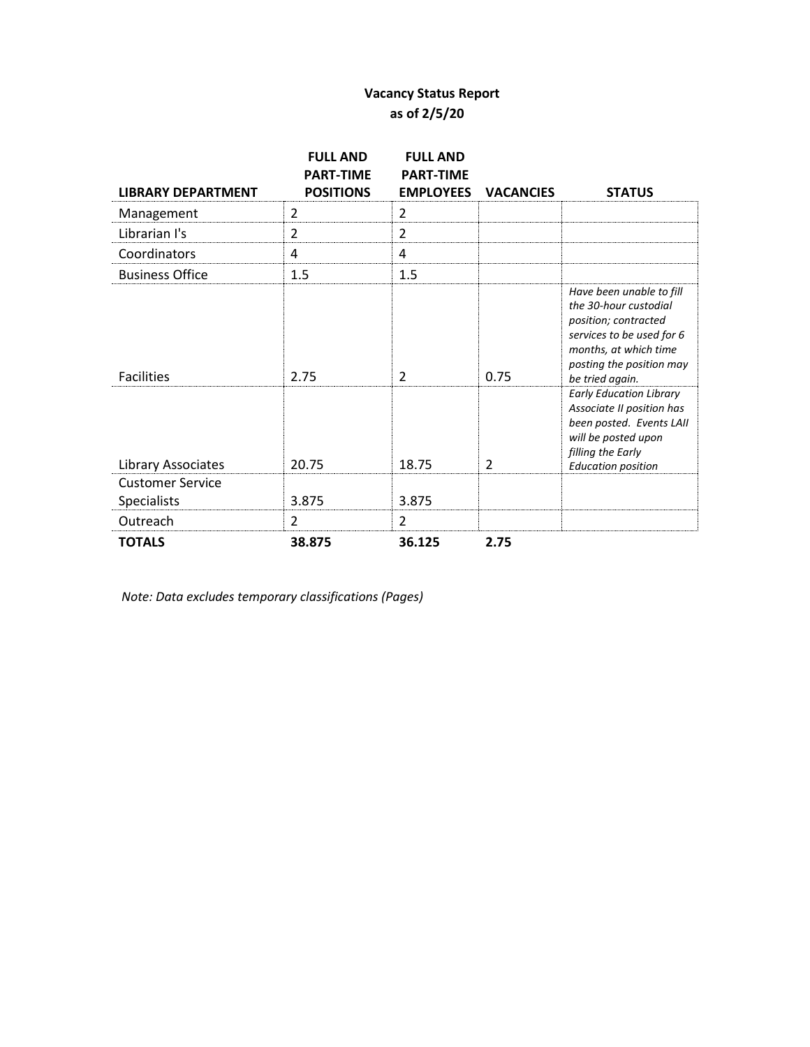## **Vacancy Status Report as of 2/5/20**

| <b>LIBRARY DEPARTMENT</b> | <b>FULL AND</b><br><b>PART-TIME</b><br><b>POSITIONS</b> | <b>FULL AND</b><br><b>PART-TIME</b><br><b>EMPLOYEES</b> | <b>VACANCIES</b> | <b>STATUS</b>                                                                                                                                                                  |
|---------------------------|---------------------------------------------------------|---------------------------------------------------------|------------------|--------------------------------------------------------------------------------------------------------------------------------------------------------------------------------|
| Management                | $\overline{2}$                                          | $\overline{2}$                                          |                  |                                                                                                                                                                                |
| Librarian I's             | $\overline{2}$                                          | 2                                                       |                  |                                                                                                                                                                                |
| Coordinators              | 4                                                       | 4                                                       |                  |                                                                                                                                                                                |
| <b>Business Office</b>    | 1.5                                                     | 1.5                                                     |                  |                                                                                                                                                                                |
| <b>Facilities</b>         | 2.75                                                    | $\mathcal{P}$                                           | 0.75             | Have been unable to fill<br>the 30-hour custodial<br>position; contracted<br>services to be used for 6<br>months, at which time<br>posting the position may<br>be tried again. |
| Library Associates        | 20.75                                                   | 18.75                                                   | 2                | <b>Early Education Library</b><br>Associate II position has<br>been posted. Events LAII<br>will be posted upon<br>filling the Early<br><b>Education position</b>               |
| <b>Customer Service</b>   |                                                         |                                                         |                  |                                                                                                                                                                                |
| <b>Specialists</b>        | 3.875                                                   | 3.875                                                   |                  |                                                                                                                                                                                |
| Outreach                  | $\overline{2}$                                          | $\mathcal{P}$                                           |                  |                                                                                                                                                                                |
| <b>TOTALS</b>             | 38.875                                                  | 36.125                                                  | 2.75             |                                                                                                                                                                                |

*Note: Data excludes temporary classifications (Pages)*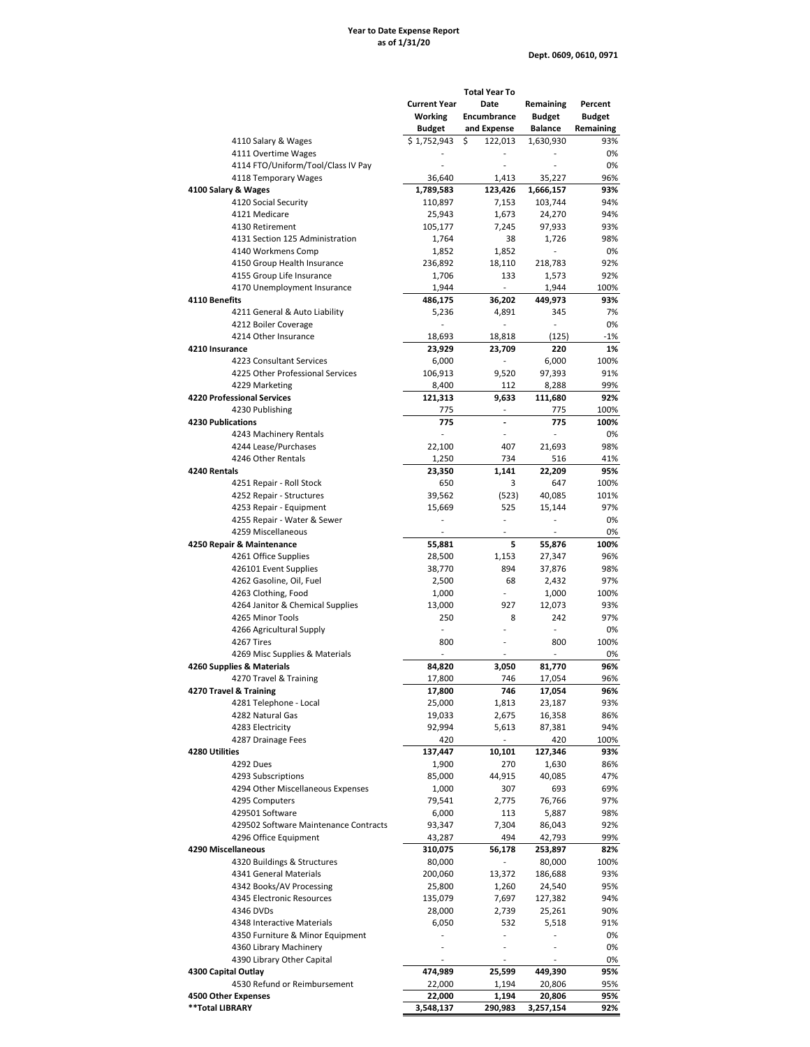#### **Year to Date Expense Report as of 1/31/20**

**Dept. 0609, 0610, 0971**

|                                       |                          | <b>Total Year To</b>     |                |               |
|---------------------------------------|--------------------------|--------------------------|----------------|---------------|
|                                       | <b>Current Year</b>      | Date                     | Remaining      | Percent       |
|                                       | <b>Working</b>           | Encumbrance              | <b>Budget</b>  | <b>Budget</b> |
|                                       | <b>Budget</b>            | and Expense              | <b>Balance</b> | Remaining     |
| 4110 Salary & Wages                   | \$1,752,943              | \$<br>122,013            | 1,630,930      | 93%           |
| 4111 Overtime Wages                   |                          |                          |                | 0%            |
|                                       |                          |                          |                | 0%            |
| 4114 FTO/Uniform/Tool/Class IV Pay    |                          |                          |                |               |
| 4118 Temporary Wages                  | 36,640                   | 1,413                    | 35,227         | 96%           |
| 4100 Salary & Wages                   | 1,789,583                | 123,426                  | 1,666,157      | 93%           |
| 4120 Social Security                  | 110,897                  | 7,153                    | 103,744        | 94%           |
| 4121 Medicare                         | 25,943                   | 1,673                    | 24,270         | 94%           |
| 4130 Retirement                       | 105,177                  | 7,245                    | 97,933         | 93%           |
| 4131 Section 125 Administration       | 1,764                    | 38                       | 1,726          | 98%           |
| 4140 Workmens Comp                    | 1,852                    | 1,852                    | $\overline{a}$ | 0%            |
| 4150 Group Health Insurance           | 236,892                  | 18,110                   | 218,783        | 92%           |
|                                       |                          |                          |                |               |
| 4155 Group Life Insurance             | 1,706                    | 133                      | 1,573          | 92%           |
| 4170 Unemployment Insurance           | 1,944                    | $\frac{1}{2}$            | 1,944          | 100%          |
| 4110 Benefits                         | 486,175                  | 36,202                   | 449,973        | 93%           |
| 4211 General & Auto Liability         | 5,236                    | 4,891                    | 345            | 7%            |
| 4212 Boiler Coverage                  |                          |                          |                | 0%            |
| 4214 Other Insurance                  | 18,693                   | 18,818                   | (125)          | $-1%$         |
| 4210 Insurance                        | 23,929                   | 23,709                   | 220            | 1%            |
| 4223 Consultant Services              | 6,000                    | $\overline{a}$           | 6,000          | 100%          |
| 4225 Other Professional Services      |                          | 9,520                    | 97,393         | 91%           |
|                                       | 106,913                  |                          |                |               |
| 4229 Marketing                        | 8,400                    | 112                      | 8,288          | 99%           |
| <b>4220 Professional Services</b>     | 121,313                  | 9,633                    | 111,680        | 92%           |
| 4230 Publishing                       | 775                      | $\frac{1}{2}$            | 775            | 100%          |
| <b>4230 Publications</b>              | 775                      | $\overline{\phantom{a}}$ | 775            | 100%          |
| 4243 Machinery Rentals                |                          |                          |                | 0%            |
| 4244 Lease/Purchases                  | 22,100                   | 407                      | 21,693         | 98%           |
| 4246 Other Rentals                    | 1,250                    | 734                      | 516            | 41%           |
| 4240 Rentals                          | 23,350                   | 1,141                    | 22,209         | 95%           |
|                                       | 650                      | 3                        | 647            |               |
| 4251 Repair - Roll Stock              |                          |                          |                | 100%          |
| 4252 Repair - Structures              | 39,562                   | (523)                    | 40,085         | 101%          |
| 4253 Repair - Equipment               | 15,669                   | 525                      | 15,144         | 97%           |
| 4255 Repair - Water & Sewer           | $\overline{\phantom{a}}$ | $\blacksquare$           | $\overline{a}$ | 0%            |
| 4259 Miscellaneous                    | $\frac{1}{2}$            |                          | ÷,             | 0%            |
| 4250 Repair & Maintenance             | 55,881                   | 5                        | 55,876         | 100%          |
| 4261 Office Supplies                  | 28,500                   | 1,153                    | 27,347         | 96%           |
| 426101 Event Supplies                 | 38,770                   | 894                      | 37,876         | 98%           |
| 4262 Gasoline, Oil, Fuel              | 2,500                    | 68                       | 2,432          | 97%           |
|                                       |                          | $\overline{a}$           |                | 100%          |
| 4263 Clothing, Food                   | 1,000                    |                          | 1,000          |               |
| 4264 Janitor & Chemical Supplies      | 13,000                   | 927                      | 12,073         | 93%           |
| 4265 Minor Tools                      | 250                      | 8                        | 242            | 97%           |
| 4266 Agricultural Supply              | $\frac{1}{2}$            |                          | Ĭ,             | 0%            |
| 4267 Tires                            | 800                      |                          | 800            | 100%          |
| 4269 Misc Supplies & Materials        |                          |                          |                | 0%            |
| 4260 Supplies & Materials             | 84,820                   | 3,050                    | 81,770         | 96%           |
| 4270 Travel & Training                | 17.800                   | 746                      | 17.054         | 96%           |
|                                       |                          |                          |                |               |
| 4270 Travel & Training                | 17,800                   | 746                      | 17,054         | 96%           |
| 4281 Telephone - Local                | 25,000                   | 1,813                    | 23,187         | 93%           |
| 4282 Natural Gas                      | 19,033                   | 2,675                    | 16,358         | 86%           |
| 4283 Electricity                      | 92,994                   | 5,613                    | 87,381         | 94%           |
| 4287 Drainage Fees                    | 420                      | $\overline{\phantom{a}}$ | 420            | 100%          |
| 4280 Utilities                        | 137,447                  | 10,101                   | 127,346        | 93%           |
| 4292 Dues                             | 1,900                    | 270                      | 1,630          | 86%           |
| 4293 Subscriptions                    | 85,000                   | 44,915                   | 40,085         | 47%           |
| 4294 Other Miscellaneous Expenses     | 1,000                    | 307                      |                | 69%           |
|                                       |                          |                          | 693            |               |
| 4295 Computers                        | 79,541                   | 2,775                    | 76,766         | 97%           |
| 429501 Software                       | 6,000                    | 113                      | 5,887          | 98%           |
| 429502 Software Maintenance Contracts | 93,347                   | 7,304                    | 86,043         | 92%           |
| 4296 Office Equipment                 | 43,287                   | 494                      | 42,793         | 99%           |
| 4290 Miscellaneous                    | 310,075                  | 56,178                   | 253,897        | 82%           |
| 4320 Buildings & Structures           | 80,000                   |                          | 80,000         | 100%          |
| 4341 General Materials                | 200,060                  | 13,372                   | 186,688        | 93%           |
|                                       |                          |                          |                | 95%           |
| 4342 Books/AV Processing              | 25,800                   | 1,260                    | 24,540         |               |
| 4345 Electronic Resources             | 135,079                  | 7,697                    | 127,382        | 94%           |
| 4346 DVDs                             | 28,000                   | 2,739                    | 25,261         | 90%           |
| 4348 Interactive Materials            | 6,050                    | 532                      | 5,518          | 91%           |
| 4350 Furniture & Minor Equipment      |                          |                          |                | 0%            |
| 4360 Library Machinery                |                          | $\overline{a}$           |                | 0%            |
| 4390 Library Other Capital            |                          | $\overline{a}$           | $\overline{a}$ | 0%            |
| 4300 Capital Outlay                   | 474,989                  | 25,599                   | 449,390        | 95%           |
|                                       |                          |                          |                |               |
| 4530 Refund or Reimbursement          | 22,000                   | 1,194                    | 20,806         | 95%           |
| <b>4500 Other Expenses</b>            | 22,000                   | 1,194                    | 20,806         | 95%           |
| **Total LIBRARY                       | 3,548,137                | 290,983                  | 3,257,154      | 92%           |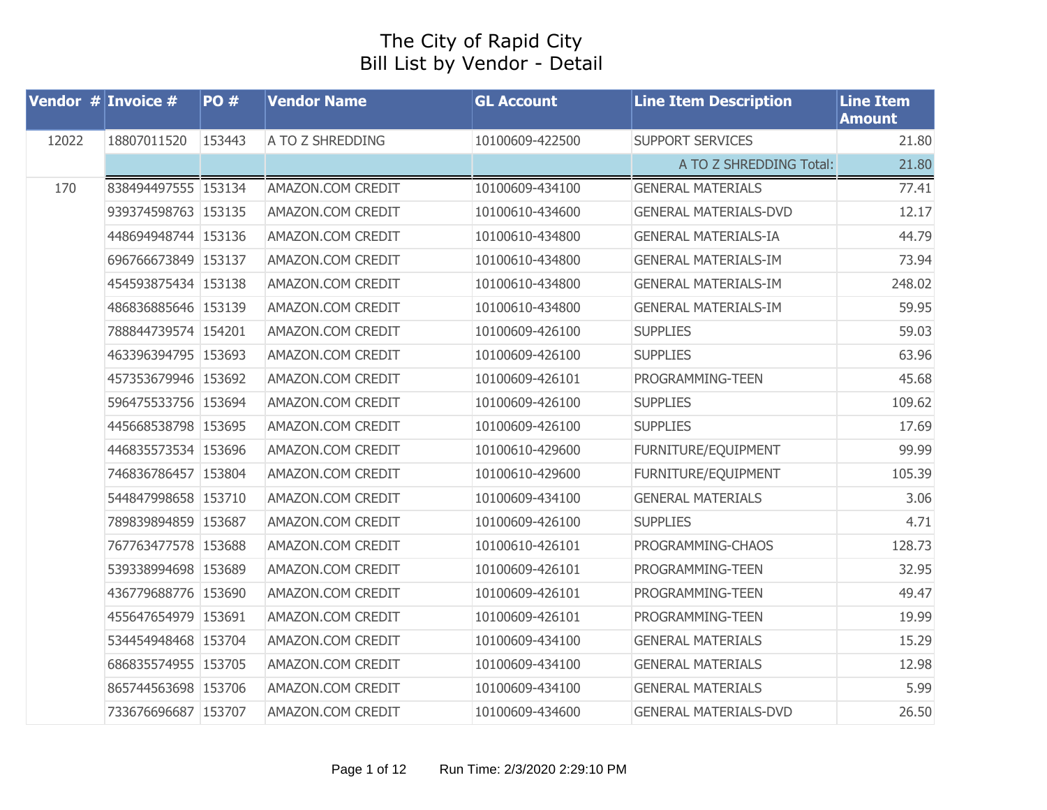# The City of Rapid City Bill List by Vendor - Detail

|       | <b>Vendor # Invoice #</b> | PO#    | <b>Vendor Name</b> | <b>GL Account</b> | <b>Line Item Description</b> | <b>Line Item</b><br><b>Amount</b> |
|-------|---------------------------|--------|--------------------|-------------------|------------------------------|-----------------------------------|
| 12022 | 18807011520               | 153443 | A TO Z SHREDDING   | 10100609-422500   | <b>SUPPORT SERVICES</b>      | 21.80                             |
|       |                           |        |                    |                   | A TO Z SHREDDING Total:      | 21.80                             |
| 170   | 838494497555 153134       |        | AMAZON.COM CREDIT  | 10100609-434100   | <b>GENERAL MATERIALS</b>     | 77.41                             |
|       | 939374598763 153135       |        | AMAZON.COM CREDIT  | 10100610-434600   | <b>GENERAL MATERIALS-DVD</b> | 12.17                             |
|       | 448694948744 153136       |        | AMAZON.COM CREDIT  | 10100610-434800   | <b>GENERAL MATERIALS-IA</b>  | 44.79                             |
|       | 696766673849 153137       |        | AMAZON.COM CREDIT  | 10100610-434800   | <b>GENERAL MATERIALS-IM</b>  | 73.94                             |
|       | 454593875434 153138       |        | AMAZON.COM CREDIT  | 10100610-434800   | <b>GENERAL MATERIALS-IM</b>  | 248.02                            |
|       | 486836885646 153139       |        | AMAZON.COM CREDIT  | 10100610-434800   | <b>GENERAL MATERIALS-IM</b>  | 59.95                             |
|       | 788844739574 154201       |        | AMAZON.COM CREDIT  | 10100609-426100   | <b>SUPPLIES</b>              | 59.03                             |
|       | 463396394795 153693       |        | AMAZON.COM CREDIT  | 10100609-426100   | <b>SUPPLIES</b>              | 63.96                             |
|       | 457353679946 153692       |        | AMAZON.COM CREDIT  | 10100609-426101   | PROGRAMMING-TEEN             | 45.68                             |
|       | 596475533756 153694       |        | AMAZON.COM CREDIT  | 10100609-426100   | <b>SUPPLIES</b>              | 109.62                            |
|       | 445668538798 153695       |        | AMAZON.COM CREDIT  | 10100609-426100   | <b>SUPPLIES</b>              | 17.69                             |
|       | 446835573534 153696       |        | AMAZON.COM CREDIT  | 10100610-429600   | FURNITURE/EQUIPMENT          | 99.99                             |
|       | 746836786457 153804       |        | AMAZON.COM CREDIT  | 10100610-429600   | FURNITURE/EQUIPMENT          | 105.39                            |
|       | 544847998658 153710       |        | AMAZON.COM CREDIT  | 10100609-434100   | <b>GENERAL MATERIALS</b>     | 3.06                              |
|       | 789839894859 153687       |        | AMAZON.COM CREDIT  | 10100609-426100   | <b>SUPPLIES</b>              | 4.71                              |
|       | 767763477578 153688       |        | AMAZON.COM CREDIT  | 10100610-426101   | PROGRAMMING-CHAOS            | 128.73                            |
|       | 539338994698 153689       |        | AMAZON.COM CREDIT  | 10100609-426101   | PROGRAMMING-TEEN             | 32.95                             |
|       | 436779688776 153690       |        | AMAZON.COM CREDIT  | 10100609-426101   | PROGRAMMING-TEEN             | 49.47                             |
|       | 455647654979 153691       |        | AMAZON.COM CREDIT  | 10100609-426101   | PROGRAMMING-TEEN             | 19.99                             |
|       | 534454948468 153704       |        | AMAZON.COM CREDIT  | 10100609-434100   | <b>GENERAL MATERIALS</b>     | 15.29                             |
|       | 686835574955 153705       |        | AMAZON.COM CREDIT  | 10100609-434100   | <b>GENERAL MATERIALS</b>     | 12.98                             |
|       | 865744563698 153706       |        | AMAZON.COM CREDIT  | 10100609-434100   | <b>GENERAL MATERIALS</b>     | 5.99                              |
|       | 733676696687 153707       |        | AMAZON.COM CREDIT  | 10100609-434600   | <b>GENERAL MATERIALS-DVD</b> | 26.50                             |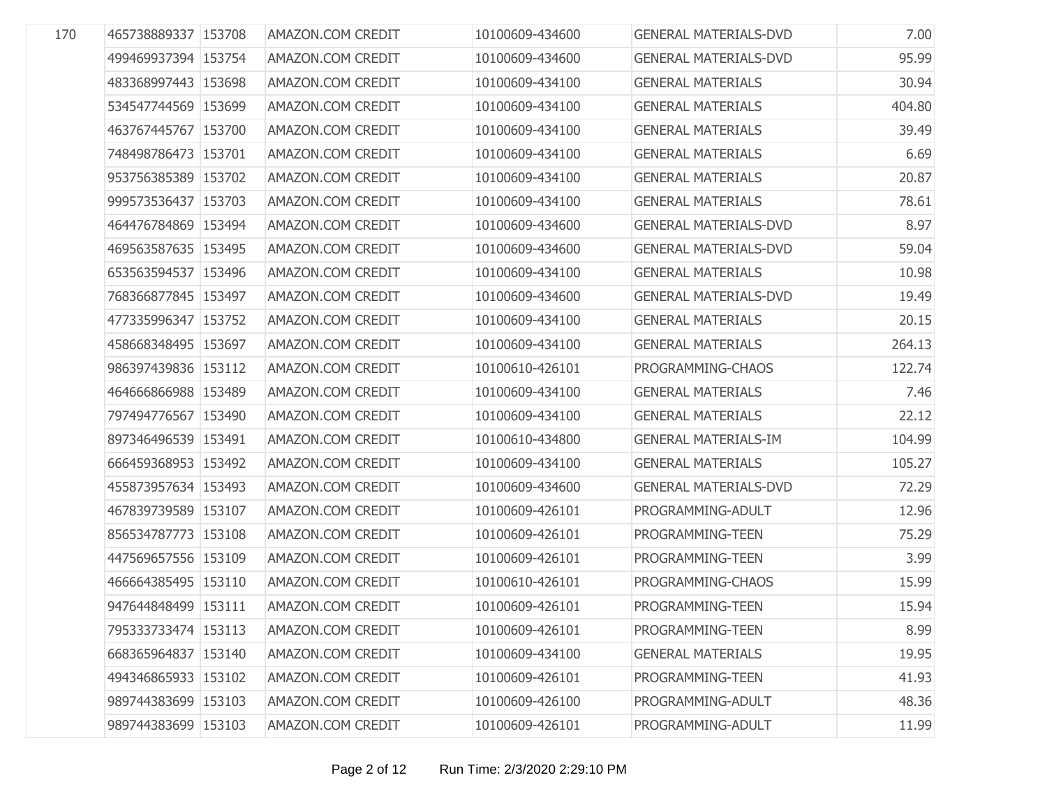| 170 | 465738889337 153708 | AMAZON.COM CREDIT | 10100609-434600 | <b>GENERAL MATERIALS-DVD</b> | 7.00   |
|-----|---------------------|-------------------|-----------------|------------------------------|--------|
|     | 499469937394 153754 | AMAZON.COM CREDIT | 10100609-434600 | <b>GENERAL MATERIALS-DVD</b> | 95.99  |
|     | 483368997443 153698 | AMAZON.COM CREDIT | 10100609-434100 | <b>GENERAL MATERIALS</b>     | 30.94  |
|     | 534547744569 153699 | AMAZON.COM CREDIT | 10100609-434100 | <b>GENERAL MATERIALS</b>     | 404.80 |
|     | 463767445767 153700 | AMAZON.COM CREDIT | 10100609-434100 | <b>GENERAL MATERIALS</b>     | 39.49  |
|     | 748498786473 153701 | AMAZON.COM CREDIT | 10100609-434100 | <b>GENERAL MATERIALS</b>     | 6.69   |
|     | 953756385389 153702 | AMAZON.COM CREDIT | 10100609-434100 | <b>GENERAL MATERIALS</b>     | 20.87  |
|     | 999573536437 153703 | AMAZON.COM CREDIT | 10100609-434100 | <b>GENERAL MATERIALS</b>     | 78.61  |
|     | 464476784869 153494 | AMAZON.COM CREDIT | 10100609-434600 | <b>GENERAL MATERIALS-DVD</b> | 8.97   |
|     | 469563587635 153495 | AMAZON.COM CREDIT | 10100609-434600 | <b>GENERAL MATERIALS-DVD</b> | 59.04  |
|     | 653563594537 153496 | AMAZON.COM CREDIT | 10100609-434100 | <b>GENERAL MATERIALS</b>     | 10.98  |
|     | 768366877845 153497 | AMAZON.COM CREDIT | 10100609-434600 | <b>GENERAL MATERIALS-DVD</b> | 19.49  |
|     | 477335996347 153752 | AMAZON.COM CREDIT | 10100609-434100 | <b>GENERAL MATERIALS</b>     | 20.15  |
|     | 458668348495 153697 | AMAZON.COM CREDIT | 10100609-434100 | <b>GENERAL MATERIALS</b>     | 264.13 |
|     | 986397439836 153112 | AMAZON.COM CREDIT | 10100610-426101 | PROGRAMMING-CHAOS            | 122.74 |
|     | 464666866988 153489 | AMAZON.COM CREDIT | 10100609-434100 | <b>GENERAL MATERIALS</b>     | 7.46   |
|     | 797494776567 153490 | AMAZON.COM CREDIT | 10100609-434100 | <b>GENERAL MATERIALS</b>     | 22.12  |
|     | 897346496539 153491 | AMAZON.COM CREDIT | 10100610-434800 | <b>GENERAL MATERIALS-IM</b>  | 104.99 |
|     | 666459368953 153492 | AMAZON.COM CREDIT | 10100609-434100 | <b>GENERAL MATERIALS</b>     | 105.27 |
|     | 455873957634 153493 | AMAZON.COM CREDIT | 10100609-434600 | <b>GENERAL MATERIALS-DVD</b> | 72.29  |
|     | 467839739589 153107 | AMAZON.COM CREDIT | 10100609-426101 | PROGRAMMING-ADULT            | 12.96  |
|     | 856534787773 153108 | AMAZON.COM CREDIT | 10100609-426101 | PROGRAMMING-TEEN             | 75.29  |
|     | 447569657556 153109 | AMAZON.COM CREDIT | 10100609-426101 | PROGRAMMING-TEEN             | 3.99   |
|     | 466664385495 153110 | AMAZON.COM CREDIT | 10100610-426101 | PROGRAMMING-CHAOS            | 15.99  |
|     | 947644848499 153111 | AMAZON.COM CREDIT | 10100609-426101 | PROGRAMMING-TEEN             | 15.94  |
|     | 795333733474 153113 | AMAZON.COM CREDIT | 10100609-426101 | PROGRAMMING-TEEN             | 8.99   |
|     | 668365964837 153140 | AMAZON.COM CREDIT | 10100609-434100 | <b>GENERAL MATERIALS</b>     | 19.95  |
|     | 494346865933 153102 | AMAZON.COM CREDIT | 10100609-426101 | PROGRAMMING-TEEN             | 41.93  |
|     | 989744383699 153103 | AMAZON.COM CREDIT | 10100609-426100 | PROGRAMMING-ADULT            | 48.36  |
|     | 989744383699 153103 | AMAZON.COM CREDIT | 10100609-426101 | PROGRAMMING-ADULT            | 11.99  |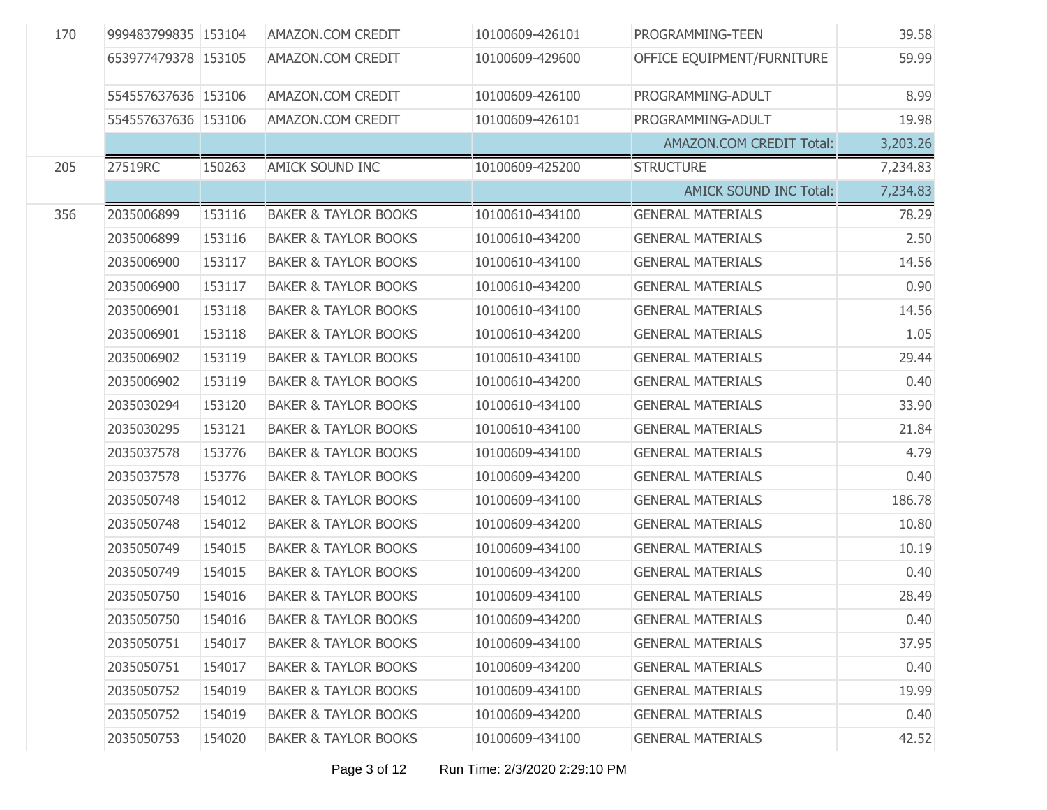| 170 | 999483799835 153104 |        | AMAZON.COM CREDIT               | 10100609-426101 | PROGRAMMING-TEEN              | 39.58    |
|-----|---------------------|--------|---------------------------------|-----------------|-------------------------------|----------|
|     | 653977479378 153105 |        | AMAZON.COM CREDIT               | 10100609-429600 | OFFICE EQUIPMENT/FURNITURE    | 59.99    |
|     | 554557637636 153106 |        | AMAZON.COM CREDIT               | 10100609-426100 | PROGRAMMING-ADULT             | 8.99     |
|     | 554557637636 153106 |        | AMAZON.COM CREDIT               | 10100609-426101 | PROGRAMMING-ADULT             | 19.98    |
|     |                     |        |                                 |                 | AMAZON.COM CREDIT Total:      | 3,203.26 |
| 205 | 27519RC             | 150263 | <b>AMICK SOUND INC</b>          | 10100609-425200 | <b>STRUCTURE</b>              | 7,234.83 |
|     |                     |        |                                 |                 | <b>AMICK SOUND INC Total:</b> | 7,234.83 |
| 356 | 2035006899          | 153116 | <b>BAKER &amp; TAYLOR BOOKS</b> | 10100610-434100 | <b>GENERAL MATERIALS</b>      | 78.29    |
|     | 2035006899          | 153116 | <b>BAKER &amp; TAYLOR BOOKS</b> | 10100610-434200 | <b>GENERAL MATERIALS</b>      | 2.50     |
|     | 2035006900          | 153117 | <b>BAKER &amp; TAYLOR BOOKS</b> | 10100610-434100 | <b>GENERAL MATERIALS</b>      | 14.56    |
|     | 2035006900          | 153117 | <b>BAKER &amp; TAYLOR BOOKS</b> | 10100610-434200 | <b>GENERAL MATERIALS</b>      | 0.90     |
|     | 2035006901          | 153118 | <b>BAKER &amp; TAYLOR BOOKS</b> | 10100610-434100 | <b>GENERAL MATERIALS</b>      | 14.56    |
|     | 2035006901          | 153118 | <b>BAKER &amp; TAYLOR BOOKS</b> | 10100610-434200 | <b>GENERAL MATERIALS</b>      | 1.05     |
|     | 2035006902          | 153119 | <b>BAKER &amp; TAYLOR BOOKS</b> | 10100610-434100 | <b>GENERAL MATERIALS</b>      | 29.44    |
|     | 2035006902          | 153119 | <b>BAKER &amp; TAYLOR BOOKS</b> | 10100610-434200 | <b>GENERAL MATERIALS</b>      | 0.40     |
|     | 2035030294          | 153120 | <b>BAKER &amp; TAYLOR BOOKS</b> | 10100610-434100 | <b>GENERAL MATERIALS</b>      | 33.90    |
|     | 2035030295          | 153121 | <b>BAKER &amp; TAYLOR BOOKS</b> | 10100610-434100 | <b>GENERAL MATERIALS</b>      | 21.84    |
|     | 2035037578          | 153776 | <b>BAKER &amp; TAYLOR BOOKS</b> | 10100609-434100 | <b>GENERAL MATERIALS</b>      | 4.79     |
|     | 2035037578          | 153776 | <b>BAKER &amp; TAYLOR BOOKS</b> | 10100609-434200 | <b>GENERAL MATERIALS</b>      | 0.40     |
|     | 2035050748          | 154012 | <b>BAKER &amp; TAYLOR BOOKS</b> | 10100609-434100 | <b>GENERAL MATERIALS</b>      | 186.78   |
|     | 2035050748          | 154012 | <b>BAKER &amp; TAYLOR BOOKS</b> | 10100609-434200 | <b>GENERAL MATERIALS</b>      | 10.80    |
|     | 2035050749          | 154015 | <b>BAKER &amp; TAYLOR BOOKS</b> | 10100609-434100 | <b>GENERAL MATERIALS</b>      | 10.19    |
|     | 2035050749          | 154015 | <b>BAKER &amp; TAYLOR BOOKS</b> | 10100609-434200 | <b>GENERAL MATERIALS</b>      | 0.40     |
|     | 2035050750          | 154016 | <b>BAKER &amp; TAYLOR BOOKS</b> | 10100609-434100 | <b>GENERAL MATERIALS</b>      | 28.49    |
|     | 2035050750          | 154016 | <b>BAKER &amp; TAYLOR BOOKS</b> | 10100609-434200 | <b>GENERAL MATERIALS</b>      | 0.40     |
|     | 2035050751          | 154017 | <b>BAKER &amp; TAYLOR BOOKS</b> | 10100609-434100 | <b>GENERAL MATERIALS</b>      | 37.95    |
|     | 2035050751          | 154017 | <b>BAKER &amp; TAYLOR BOOKS</b> | 10100609-434200 | <b>GENERAL MATERIALS</b>      | 0.40     |
|     | 2035050752          | 154019 | <b>BAKER &amp; TAYLOR BOOKS</b> | 10100609-434100 | <b>GENERAL MATERIALS</b>      | 19.99    |
|     | 2035050752          | 154019 | <b>BAKER &amp; TAYLOR BOOKS</b> | 10100609-434200 | <b>GENERAL MATERIALS</b>      | 0.40     |
|     | 2035050753          | 154020 | <b>BAKER &amp; TAYLOR BOOKS</b> | 10100609-434100 | <b>GENERAL MATERIALS</b>      | 42.52    |
|     |                     |        |                                 |                 |                               |          |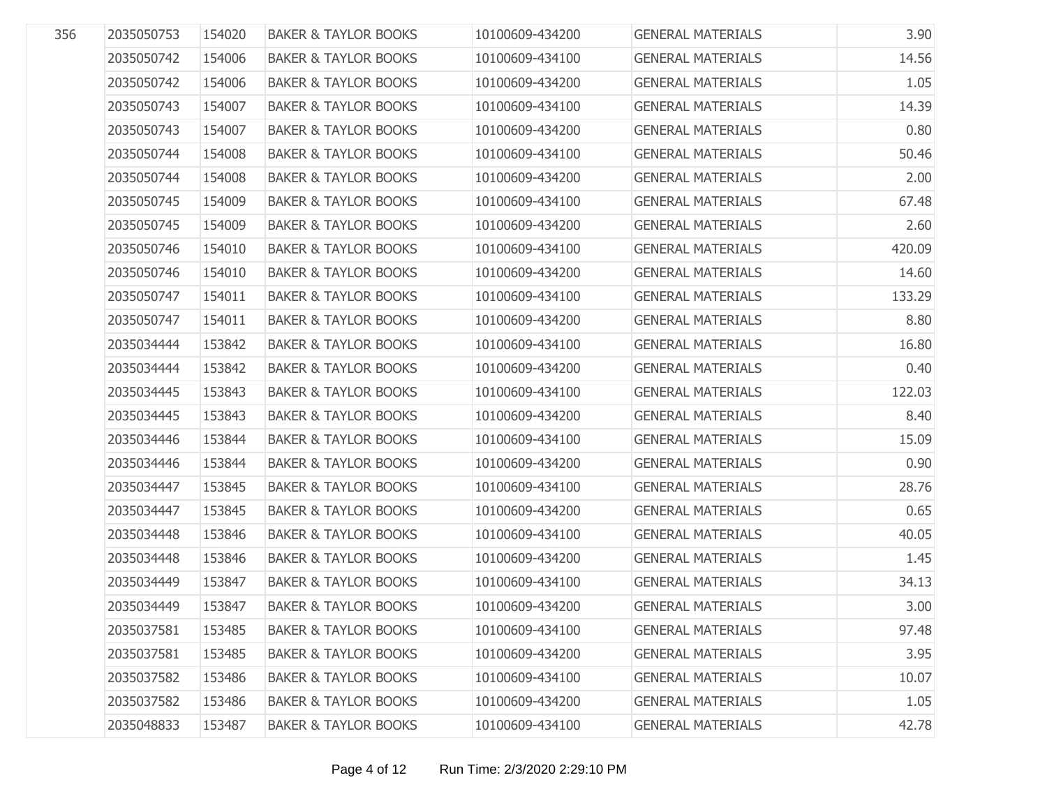| 356 | 2035050753 | 154020 | <b>BAKER &amp; TAYLOR BOOKS</b> | 10100609-434200 | <b>GENERAL MATERIALS</b> | 3.90   |
|-----|------------|--------|---------------------------------|-----------------|--------------------------|--------|
|     | 2035050742 | 154006 | <b>BAKER &amp; TAYLOR BOOKS</b> | 10100609-434100 | <b>GENERAL MATERIALS</b> | 14.56  |
|     | 2035050742 | 154006 | <b>BAKER &amp; TAYLOR BOOKS</b> | 10100609-434200 | <b>GENERAL MATERIALS</b> | 1.05   |
|     | 2035050743 | 154007 | <b>BAKER &amp; TAYLOR BOOKS</b> | 10100609-434100 | <b>GENERAL MATERIALS</b> | 14.39  |
|     | 2035050743 | 154007 | <b>BAKER &amp; TAYLOR BOOKS</b> | 10100609-434200 | <b>GENERAL MATERIALS</b> | 0.80   |
|     | 2035050744 | 154008 | <b>BAKER &amp; TAYLOR BOOKS</b> | 10100609-434100 | <b>GENERAL MATERIALS</b> | 50.46  |
|     | 2035050744 | 154008 | <b>BAKER &amp; TAYLOR BOOKS</b> | 10100609-434200 | <b>GENERAL MATERIALS</b> | 2.00   |
|     | 2035050745 | 154009 | <b>BAKER &amp; TAYLOR BOOKS</b> | 10100609-434100 | <b>GENERAL MATERIALS</b> | 67.48  |
|     | 2035050745 | 154009 | <b>BAKER &amp; TAYLOR BOOKS</b> | 10100609-434200 | <b>GENERAL MATERIALS</b> | 2.60   |
|     | 2035050746 | 154010 | <b>BAKER &amp; TAYLOR BOOKS</b> | 10100609-434100 | <b>GENERAL MATERIALS</b> | 420.09 |
|     | 2035050746 | 154010 | <b>BAKER &amp; TAYLOR BOOKS</b> | 10100609-434200 | <b>GENERAL MATERIALS</b> | 14.60  |
|     | 2035050747 | 154011 | <b>BAKER &amp; TAYLOR BOOKS</b> | 10100609-434100 | <b>GENERAL MATERIALS</b> | 133.29 |
|     | 2035050747 | 154011 | <b>BAKER &amp; TAYLOR BOOKS</b> | 10100609-434200 | <b>GENERAL MATERIALS</b> | 8.80   |
|     | 2035034444 | 153842 | <b>BAKER &amp; TAYLOR BOOKS</b> | 10100609-434100 | <b>GENERAL MATERIALS</b> | 16.80  |
|     | 2035034444 | 153842 | <b>BAKER &amp; TAYLOR BOOKS</b> | 10100609-434200 | <b>GENERAL MATERIALS</b> | 0.40   |
|     | 2035034445 | 153843 | <b>BAKER &amp; TAYLOR BOOKS</b> | 10100609-434100 | <b>GENERAL MATERIALS</b> | 122.03 |
|     | 2035034445 | 153843 | <b>BAKER &amp; TAYLOR BOOKS</b> | 10100609-434200 | <b>GENERAL MATERIALS</b> | 8.40   |
|     | 2035034446 | 153844 | <b>BAKER &amp; TAYLOR BOOKS</b> | 10100609-434100 | <b>GENERAL MATERIALS</b> | 15.09  |
|     | 2035034446 | 153844 | <b>BAKER &amp; TAYLOR BOOKS</b> | 10100609-434200 | <b>GENERAL MATERIALS</b> | 0.90   |
|     | 2035034447 | 153845 | <b>BAKER &amp; TAYLOR BOOKS</b> | 10100609-434100 | <b>GENERAL MATERIALS</b> | 28.76  |
|     | 2035034447 | 153845 | <b>BAKER &amp; TAYLOR BOOKS</b> | 10100609-434200 | <b>GENERAL MATERIALS</b> | 0.65   |
|     | 2035034448 | 153846 | <b>BAKER &amp; TAYLOR BOOKS</b> | 10100609-434100 | <b>GENERAL MATERIALS</b> | 40.05  |
|     | 2035034448 | 153846 | <b>BAKER &amp; TAYLOR BOOKS</b> | 10100609-434200 | <b>GENERAL MATERIALS</b> | 1.45   |
|     | 2035034449 | 153847 | <b>BAKER &amp; TAYLOR BOOKS</b> | 10100609-434100 | <b>GENERAL MATERIALS</b> | 34.13  |
|     | 2035034449 | 153847 | <b>BAKER &amp; TAYLOR BOOKS</b> | 10100609-434200 | <b>GENERAL MATERIALS</b> | 3.00   |
|     | 2035037581 | 153485 | <b>BAKER &amp; TAYLOR BOOKS</b> | 10100609-434100 | <b>GENERAL MATERIALS</b> | 97.48  |
|     | 2035037581 | 153485 | <b>BAKER &amp; TAYLOR BOOKS</b> | 10100609-434200 | <b>GENERAL MATERIALS</b> | 3.95   |
|     | 2035037582 | 153486 | <b>BAKER &amp; TAYLOR BOOKS</b> | 10100609-434100 | <b>GENERAL MATERIALS</b> | 10.07  |
|     | 2035037582 | 153486 | <b>BAKER &amp; TAYLOR BOOKS</b> | 10100609-434200 | <b>GENERAL MATERIALS</b> | 1.05   |
|     | 2035048833 | 153487 | <b>BAKER &amp; TAYLOR BOOKS</b> | 10100609-434100 | <b>GENERAL MATERIALS</b> | 42.78  |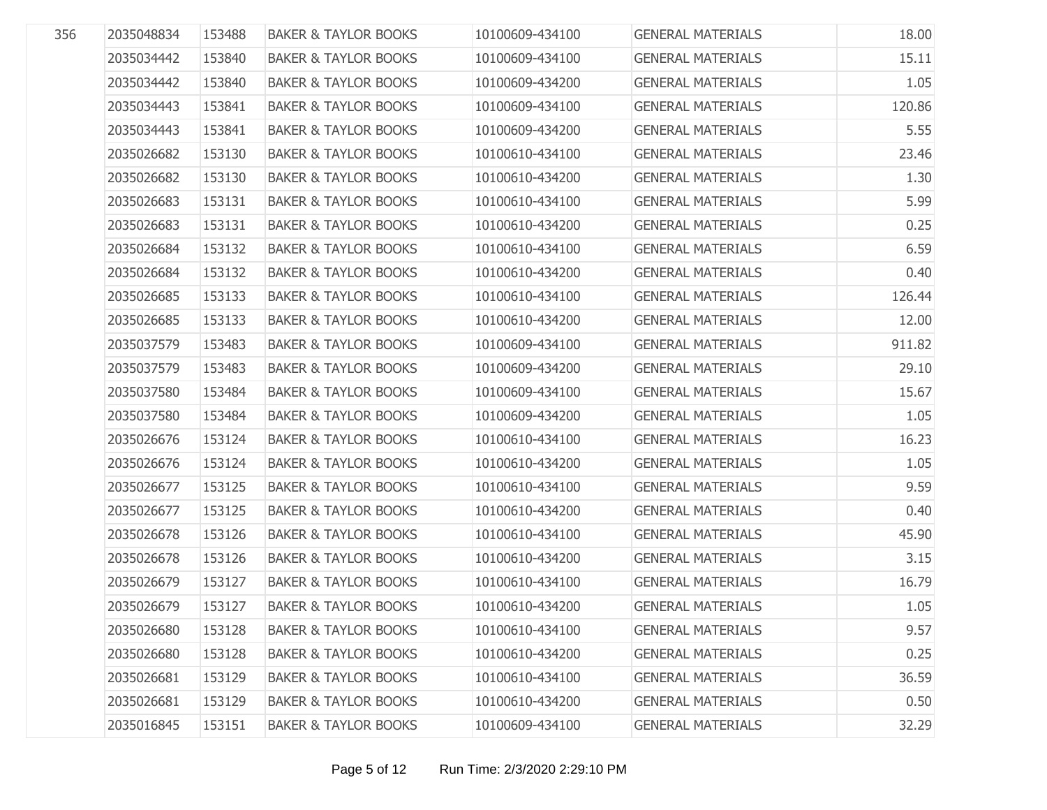| 356 | 2035048834 | 153488 | <b>BAKER &amp; TAYLOR BOOKS</b> | 10100609-434100 | <b>GENERAL MATERIALS</b> | 18.00  |
|-----|------------|--------|---------------------------------|-----------------|--------------------------|--------|
|     | 2035034442 | 153840 | <b>BAKER &amp; TAYLOR BOOKS</b> | 10100609-434100 | <b>GENERAL MATERIALS</b> | 15.11  |
|     | 2035034442 | 153840 | <b>BAKER &amp; TAYLOR BOOKS</b> | 10100609-434200 | <b>GENERAL MATERIALS</b> | 1.05   |
|     | 2035034443 | 153841 | <b>BAKER &amp; TAYLOR BOOKS</b> | 10100609-434100 | <b>GENERAL MATERIALS</b> | 120.86 |
|     | 2035034443 | 153841 | <b>BAKER &amp; TAYLOR BOOKS</b> | 10100609-434200 | <b>GENERAL MATERIALS</b> | 5.55   |
|     | 2035026682 | 153130 | <b>BAKER &amp; TAYLOR BOOKS</b> | 10100610-434100 | <b>GENERAL MATERIALS</b> | 23.46  |
|     | 2035026682 | 153130 | <b>BAKER &amp; TAYLOR BOOKS</b> | 10100610-434200 | <b>GENERAL MATERIALS</b> | 1.30   |
|     | 2035026683 | 153131 | <b>BAKER &amp; TAYLOR BOOKS</b> | 10100610-434100 | <b>GENERAL MATERIALS</b> | 5.99   |
|     | 2035026683 | 153131 | <b>BAKER &amp; TAYLOR BOOKS</b> | 10100610-434200 | <b>GENERAL MATERIALS</b> | 0.25   |
|     | 2035026684 | 153132 | <b>BAKER &amp; TAYLOR BOOKS</b> | 10100610-434100 | <b>GENERAL MATERIALS</b> | 6.59   |
|     | 2035026684 | 153132 | <b>BAKER &amp; TAYLOR BOOKS</b> | 10100610-434200 | <b>GENERAL MATERIALS</b> | 0.40   |
|     | 2035026685 | 153133 | <b>BAKER &amp; TAYLOR BOOKS</b> | 10100610-434100 | <b>GENERAL MATERIALS</b> | 126.44 |
|     | 2035026685 | 153133 | <b>BAKER &amp; TAYLOR BOOKS</b> | 10100610-434200 | <b>GENERAL MATERIALS</b> | 12.00  |
|     | 2035037579 | 153483 | <b>BAKER &amp; TAYLOR BOOKS</b> | 10100609-434100 | <b>GENERAL MATERIALS</b> | 911.82 |
|     | 2035037579 | 153483 | <b>BAKER &amp; TAYLOR BOOKS</b> | 10100609-434200 | <b>GENERAL MATERIALS</b> | 29.10  |
|     | 2035037580 | 153484 | <b>BAKER &amp; TAYLOR BOOKS</b> | 10100609-434100 | <b>GENERAL MATERIALS</b> | 15.67  |
|     | 2035037580 | 153484 | <b>BAKER &amp; TAYLOR BOOKS</b> | 10100609-434200 | <b>GENERAL MATERIALS</b> | 1.05   |
|     | 2035026676 | 153124 | <b>BAKER &amp; TAYLOR BOOKS</b> | 10100610-434100 | <b>GENERAL MATERIALS</b> | 16.23  |
|     | 2035026676 | 153124 | <b>BAKER &amp; TAYLOR BOOKS</b> | 10100610-434200 | <b>GENERAL MATERIALS</b> | 1.05   |
|     | 2035026677 | 153125 | <b>BAKER &amp; TAYLOR BOOKS</b> | 10100610-434100 | <b>GENERAL MATERIALS</b> | 9.59   |
|     | 2035026677 | 153125 | <b>BAKER &amp; TAYLOR BOOKS</b> | 10100610-434200 | <b>GENERAL MATERIALS</b> | 0.40   |
|     | 2035026678 | 153126 | <b>BAKER &amp; TAYLOR BOOKS</b> | 10100610-434100 | <b>GENERAL MATERIALS</b> | 45.90  |
|     | 2035026678 | 153126 | <b>BAKER &amp; TAYLOR BOOKS</b> | 10100610-434200 | <b>GENERAL MATERIALS</b> | 3.15   |
|     | 2035026679 | 153127 | <b>BAKER &amp; TAYLOR BOOKS</b> | 10100610-434100 | <b>GENERAL MATERIALS</b> | 16.79  |
|     | 2035026679 | 153127 | <b>BAKER &amp; TAYLOR BOOKS</b> | 10100610-434200 | <b>GENERAL MATERIALS</b> | 1.05   |
|     | 2035026680 | 153128 | <b>BAKER &amp; TAYLOR BOOKS</b> | 10100610-434100 | <b>GENERAL MATERIALS</b> | 9.57   |
|     | 2035026680 | 153128 | <b>BAKER &amp; TAYLOR BOOKS</b> | 10100610-434200 | <b>GENERAL MATERIALS</b> | 0.25   |
|     | 2035026681 | 153129 | <b>BAKER &amp; TAYLOR BOOKS</b> | 10100610-434100 | <b>GENERAL MATERIALS</b> | 36.59  |
|     | 2035026681 | 153129 | <b>BAKER &amp; TAYLOR BOOKS</b> | 10100610-434200 | <b>GENERAL MATERIALS</b> | 0.50   |
|     | 2035016845 | 153151 | <b>BAKER &amp; TAYLOR BOOKS</b> | 10100609-434100 | <b>GENERAL MATERIALS</b> | 32.29  |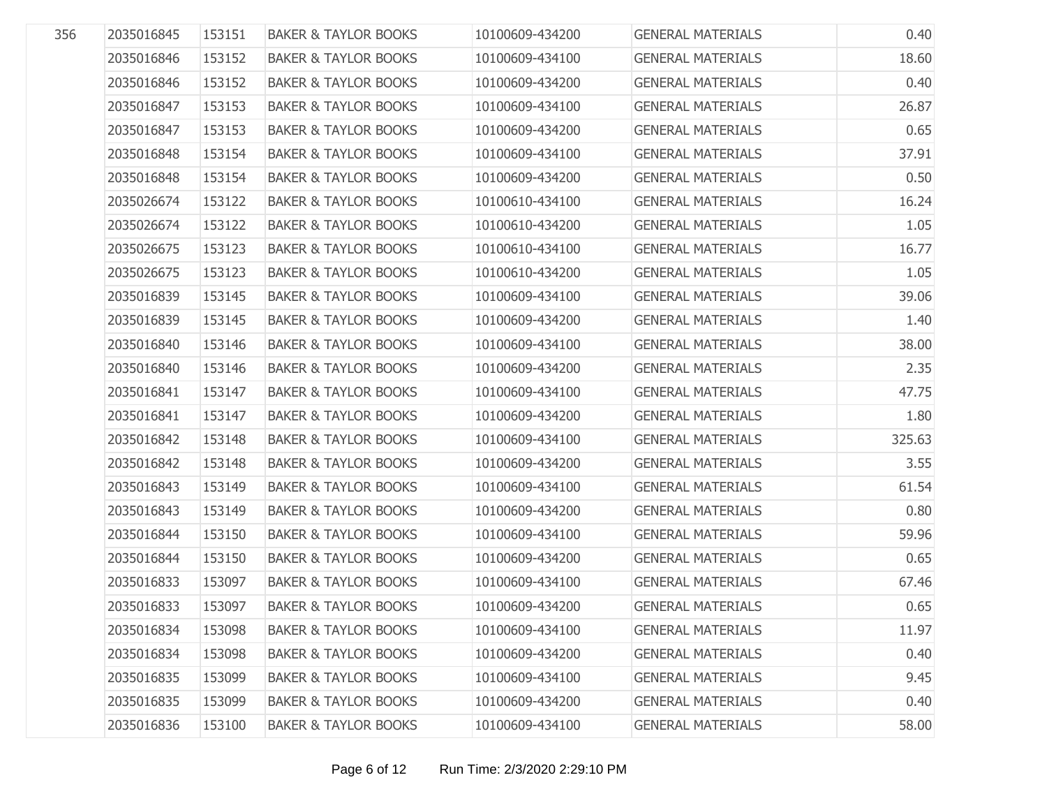| 356 | 2035016845 | 153151 | <b>BAKER &amp; TAYLOR BOOKS</b> | 10100609-434200 | <b>GENERAL MATERIALS</b> | 0.40   |
|-----|------------|--------|---------------------------------|-----------------|--------------------------|--------|
|     | 2035016846 | 153152 | <b>BAKER &amp; TAYLOR BOOKS</b> | 10100609-434100 | <b>GENERAL MATERIALS</b> | 18.60  |
|     | 2035016846 | 153152 | <b>BAKER &amp; TAYLOR BOOKS</b> | 10100609-434200 | <b>GENERAL MATERIALS</b> | 0.40   |
|     | 2035016847 | 153153 | <b>BAKER &amp; TAYLOR BOOKS</b> | 10100609-434100 | <b>GENERAL MATERIALS</b> | 26.87  |
|     | 2035016847 | 153153 | <b>BAKER &amp; TAYLOR BOOKS</b> | 10100609-434200 | <b>GENERAL MATERIALS</b> | 0.65   |
|     | 2035016848 | 153154 | <b>BAKER &amp; TAYLOR BOOKS</b> | 10100609-434100 | <b>GENERAL MATERIALS</b> | 37.91  |
|     | 2035016848 | 153154 | <b>BAKER &amp; TAYLOR BOOKS</b> | 10100609-434200 | <b>GENERAL MATERIALS</b> | 0.50   |
|     | 2035026674 | 153122 | <b>BAKER &amp; TAYLOR BOOKS</b> | 10100610-434100 | <b>GENERAL MATERIALS</b> | 16.24  |
|     | 2035026674 | 153122 | <b>BAKER &amp; TAYLOR BOOKS</b> | 10100610-434200 | <b>GENERAL MATERIALS</b> | 1.05   |
|     | 2035026675 | 153123 | <b>BAKER &amp; TAYLOR BOOKS</b> | 10100610-434100 | <b>GENERAL MATERIALS</b> | 16.77  |
|     | 2035026675 | 153123 | <b>BAKER &amp; TAYLOR BOOKS</b> | 10100610-434200 | <b>GENERAL MATERIALS</b> | 1.05   |
|     | 2035016839 | 153145 | <b>BAKER &amp; TAYLOR BOOKS</b> | 10100609-434100 | <b>GENERAL MATERIALS</b> | 39.06  |
|     | 2035016839 | 153145 | <b>BAKER &amp; TAYLOR BOOKS</b> | 10100609-434200 | <b>GENERAL MATERIALS</b> | 1.40   |
|     | 2035016840 | 153146 | <b>BAKER &amp; TAYLOR BOOKS</b> | 10100609-434100 | <b>GENERAL MATERIALS</b> | 38.00  |
|     | 2035016840 | 153146 | <b>BAKER &amp; TAYLOR BOOKS</b> | 10100609-434200 | <b>GENERAL MATERIALS</b> | 2.35   |
|     | 2035016841 | 153147 | <b>BAKER &amp; TAYLOR BOOKS</b> | 10100609-434100 | <b>GENERAL MATERIALS</b> | 47.75  |
|     | 2035016841 | 153147 | <b>BAKER &amp; TAYLOR BOOKS</b> | 10100609-434200 | <b>GENERAL MATERIALS</b> | 1.80   |
|     | 2035016842 | 153148 | <b>BAKER &amp; TAYLOR BOOKS</b> | 10100609-434100 | <b>GENERAL MATERIALS</b> | 325.63 |
|     | 2035016842 | 153148 | <b>BAKER &amp; TAYLOR BOOKS</b> | 10100609-434200 | <b>GENERAL MATERIALS</b> | 3.55   |
|     | 2035016843 | 153149 | <b>BAKER &amp; TAYLOR BOOKS</b> | 10100609-434100 | <b>GENERAL MATERIALS</b> | 61.54  |
|     | 2035016843 | 153149 | <b>BAKER &amp; TAYLOR BOOKS</b> | 10100609-434200 | <b>GENERAL MATERIALS</b> | 0.80   |
|     | 2035016844 | 153150 | <b>BAKER &amp; TAYLOR BOOKS</b> | 10100609-434100 | <b>GENERAL MATERIALS</b> | 59.96  |
|     | 2035016844 | 153150 | <b>BAKER &amp; TAYLOR BOOKS</b> | 10100609-434200 | <b>GENERAL MATERIALS</b> | 0.65   |
|     | 2035016833 | 153097 | <b>BAKER &amp; TAYLOR BOOKS</b> | 10100609-434100 | <b>GENERAL MATERIALS</b> | 67.46  |
|     | 2035016833 | 153097 | <b>BAKER &amp; TAYLOR BOOKS</b> | 10100609-434200 | <b>GENERAL MATERIALS</b> | 0.65   |
|     | 2035016834 | 153098 | <b>BAKER &amp; TAYLOR BOOKS</b> | 10100609-434100 | <b>GENERAL MATERIALS</b> | 11.97  |
|     | 2035016834 | 153098 | <b>BAKER &amp; TAYLOR BOOKS</b> | 10100609-434200 | <b>GENERAL MATERIALS</b> | 0.40   |
|     | 2035016835 | 153099 | <b>BAKER &amp; TAYLOR BOOKS</b> | 10100609-434100 | <b>GENERAL MATERIALS</b> | 9.45   |
|     | 2035016835 | 153099 | <b>BAKER &amp; TAYLOR BOOKS</b> | 10100609-434200 | <b>GENERAL MATERIALS</b> | 0.40   |
|     | 2035016836 | 153100 | <b>BAKER &amp; TAYLOR BOOKS</b> | 10100609-434100 | <b>GENERAL MATERIALS</b> | 58.00  |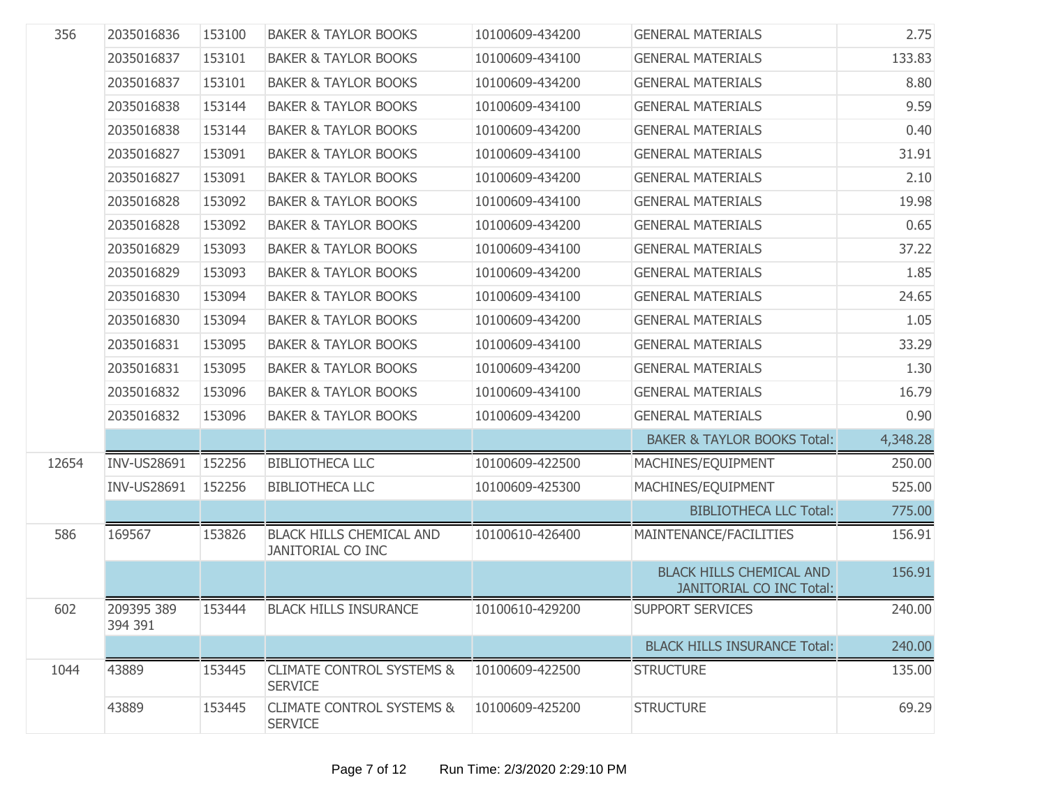| 356   | 2035016836            | 153100 | <b>BAKER &amp; TAYLOR BOOKS</b>                        | 10100609-434200 | <b>GENERAL MATERIALS</b>                                           | 2.75     |
|-------|-----------------------|--------|--------------------------------------------------------|-----------------|--------------------------------------------------------------------|----------|
|       | 2035016837            | 153101 | <b>BAKER &amp; TAYLOR BOOKS</b>                        | 10100609-434100 | <b>GENERAL MATERIALS</b>                                           | 133.83   |
|       | 2035016837            | 153101 | <b>BAKER &amp; TAYLOR BOOKS</b>                        | 10100609-434200 | <b>GENERAL MATERIALS</b>                                           | 8.80     |
|       | 2035016838            | 153144 | <b>BAKER &amp; TAYLOR BOOKS</b>                        | 10100609-434100 | <b>GENERAL MATERIALS</b>                                           | 9.59     |
|       | 2035016838            | 153144 | <b>BAKER &amp; TAYLOR BOOKS</b>                        | 10100609-434200 | <b>GENERAL MATERIALS</b>                                           | 0.40     |
|       | 2035016827            | 153091 | <b>BAKER &amp; TAYLOR BOOKS</b>                        | 10100609-434100 | <b>GENERAL MATERIALS</b>                                           | 31.91    |
|       | 2035016827            | 153091 | <b>BAKER &amp; TAYLOR BOOKS</b>                        | 10100609-434200 | <b>GENERAL MATERIALS</b>                                           | 2.10     |
|       | 2035016828            | 153092 | <b>BAKER &amp; TAYLOR BOOKS</b>                        | 10100609-434100 | <b>GENERAL MATERIALS</b>                                           | 19.98    |
|       | 2035016828            | 153092 | <b>BAKER &amp; TAYLOR BOOKS</b>                        | 10100609-434200 | <b>GENERAL MATERIALS</b>                                           | 0.65     |
|       | 2035016829            | 153093 | <b>BAKER &amp; TAYLOR BOOKS</b>                        | 10100609-434100 | <b>GENERAL MATERIALS</b>                                           | 37.22    |
|       | 2035016829            | 153093 | <b>BAKER &amp; TAYLOR BOOKS</b>                        | 10100609-434200 | <b>GENERAL MATERIALS</b>                                           | 1.85     |
|       | 2035016830            | 153094 | <b>BAKER &amp; TAYLOR BOOKS</b>                        | 10100609-434100 | <b>GENERAL MATERIALS</b>                                           | 24.65    |
|       | 2035016830            | 153094 | <b>BAKER &amp; TAYLOR BOOKS</b>                        | 10100609-434200 | <b>GENERAL MATERIALS</b>                                           | 1.05     |
|       | 2035016831            | 153095 | <b>BAKER &amp; TAYLOR BOOKS</b>                        | 10100609-434100 | <b>GENERAL MATERIALS</b>                                           | 33.29    |
|       | 2035016831            | 153095 | <b>BAKER &amp; TAYLOR BOOKS</b>                        | 10100609-434200 | <b>GENERAL MATERIALS</b>                                           | 1.30     |
|       | 2035016832            | 153096 | <b>BAKER &amp; TAYLOR BOOKS</b>                        | 10100609-434100 | <b>GENERAL MATERIALS</b>                                           | 16.79    |
|       | 2035016832            | 153096 | <b>BAKER &amp; TAYLOR BOOKS</b>                        | 10100609-434200 | <b>GENERAL MATERIALS</b>                                           | 0.90     |
|       |                       |        |                                                        |                 | <b>BAKER &amp; TAYLOR BOOKS Total:</b>                             | 4,348.28 |
| 12654 | <b>INV-US28691</b>    | 152256 | <b>BIBLIOTHECA LLC</b>                                 | 10100609-422500 | MACHINES/EQUIPMENT                                                 | 250.00   |
|       | <b>INV-US28691</b>    | 152256 | <b>BIBLIOTHECA LLC</b>                                 | 10100609-425300 | MACHINES/EQUIPMENT                                                 | 525.00   |
|       |                       |        |                                                        |                 | <b>BIBLIOTHECA LLC Total:</b>                                      | 775.00   |
| 586   | 169567                | 153826 | <b>BLACK HILLS CHEMICAL AND</b><br>JANITORIAL CO INC   | 10100610-426400 | MAINTENANCE/FACILITIES                                             | 156.91   |
|       |                       |        |                                                        |                 | <b>BLACK HILLS CHEMICAL AND</b><br><b>JANITORIAL CO INC Total:</b> | 156.91   |
| 602   | 209395 389<br>394 391 | 153444 | <b>BLACK HILLS INSURANCE</b>                           | 10100610-429200 | <b>SUPPORT SERVICES</b>                                            | 240.00   |
|       |                       |        |                                                        |                 | <b>BLACK HILLS INSURANCE Total:</b>                                | 240.00   |
| 1044  | 43889                 | 153445 | <b>CLIMATE CONTROL SYSTEMS &amp;</b><br><b>SERVICE</b> | 10100609-422500 | <b>STRUCTURE</b>                                                   | 135.00   |
|       | 43889                 | 153445 | <b>CLIMATE CONTROL SYSTEMS &amp;</b><br><b>SERVICE</b> | 10100609-425200 | <b>STRUCTURE</b>                                                   | 69.29    |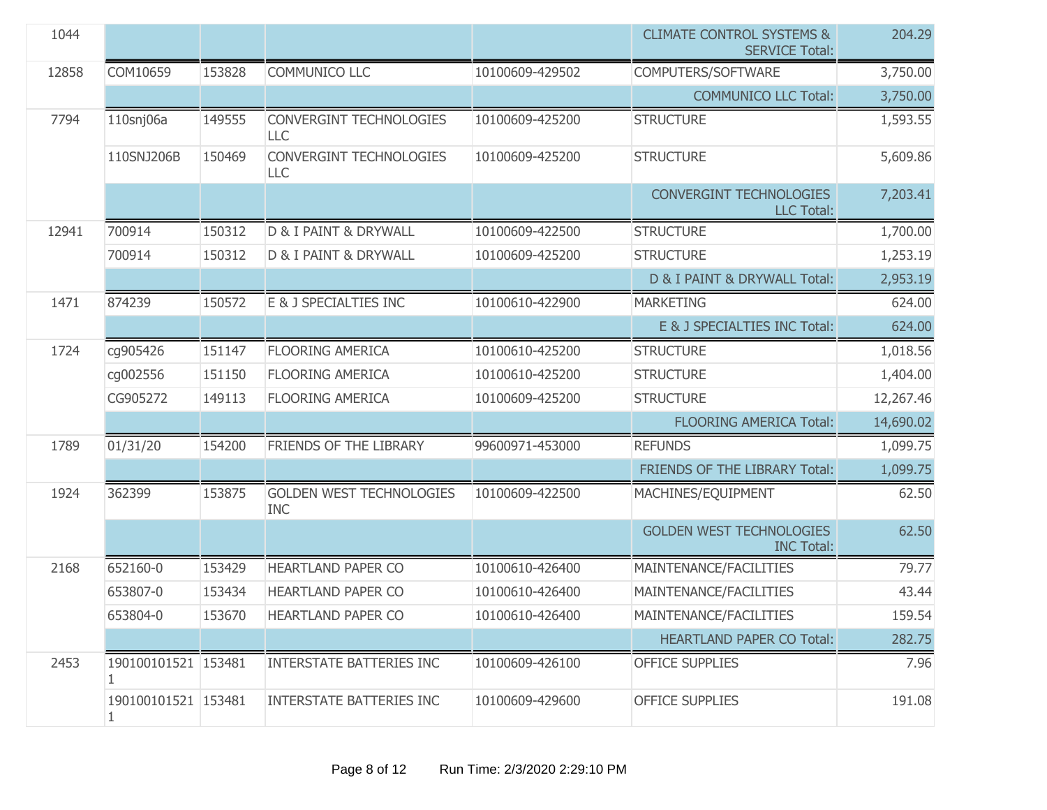| 1044  |                          |        |                                               |                 | <b>CLIMATE CONTROL SYSTEMS &amp;</b><br><b>SERVICE Total:</b> | 204.29    |
|-------|--------------------------|--------|-----------------------------------------------|-----------------|---------------------------------------------------------------|-----------|
| 12858 | COM10659                 | 153828 | <b>COMMUNICO LLC</b>                          | 10100609-429502 | COMPUTERS/SOFTWARE                                            | 3,750.00  |
|       |                          |        |                                               |                 | <b>COMMUNICO LLC Total:</b>                                   | 3,750.00  |
| 7794  | 110snj06a                | 149555 | CONVERGINT TECHNOLOGIES<br>LLC                | 10100609-425200 | <b>STRUCTURE</b>                                              | 1,593.55  |
|       | 110SNJ206B               | 150469 | CONVERGINT TECHNOLOGIES<br>LLC                | 10100609-425200 | <b>STRUCTURE</b>                                              | 5,609.86  |
|       |                          |        |                                               |                 | <b>CONVERGINT TECHNOLOGIES</b><br><b>LLC Total:</b>           | 7,203.41  |
| 12941 | 700914                   | 150312 | D & I PAINT & DRYWALL                         | 10100609-422500 | <b>STRUCTURE</b>                                              | 1,700.00  |
|       | 700914                   | 150312 | D & I PAINT & DRYWALL                         | 10100609-425200 | <b>STRUCTURE</b>                                              | 1,253.19  |
|       |                          |        |                                               |                 | D & I PAINT & DRYWALL Total:                                  | 2,953.19  |
| 1471  | 874239                   | 150572 | E & J SPECIALTIES INC                         | 10100610-422900 | <b>MARKETING</b>                                              | 624.00    |
|       |                          |        |                                               |                 | E & J SPECIALTIES INC Total:                                  | 624.00    |
| 1724  | cg905426                 | 151147 | <b>FLOORING AMERICA</b>                       | 10100610-425200 | <b>STRUCTURE</b>                                              | 1,018.56  |
|       | cg002556                 | 151150 | <b>FLOORING AMERICA</b>                       | 10100610-425200 | <b>STRUCTURE</b>                                              | 1,404.00  |
|       | CG905272                 | 149113 | <b>FLOORING AMERICA</b>                       | 10100609-425200 | <b>STRUCTURE</b>                                              | 12,267.46 |
|       |                          |        |                                               |                 | <b>FLOORING AMERICA Total:</b>                                | 14,690.02 |
| 1789  | 01/31/20                 | 154200 | FRIENDS OF THE LIBRARY                        | 99600971-453000 | <b>REFUNDS</b>                                                | 1,099.75  |
|       |                          |        |                                               |                 | FRIENDS OF THE LIBRARY Total:                                 | 1,099.75  |
| 1924  | 362399                   | 153875 | <b>GOLDEN WEST TECHNOLOGIES</b><br><b>INC</b> | 10100609-422500 | MACHINES/EQUIPMENT                                            | 62.50     |
|       |                          |        |                                               |                 | <b>GOLDEN WEST TECHNOLOGIES</b><br><b>INC Total:</b>          | 62.50     |
| 2168  | 652160-0                 | 153429 | <b>HEARTLAND PAPER CO</b>                     | 10100610-426400 | MAINTENANCE/FACILITIES                                        | 79.77     |
|       | 653807-0                 | 153434 | <b>HEARTLAND PAPER CO</b>                     | 10100610-426400 | MAINTENANCE/FACILITIES                                        | 43.44     |
|       | 653804-0                 | 153670 | <b>HEARTLAND PAPER CO</b>                     | 10100610-426400 | MAINTENANCE/FACILITIES                                        | 159.54    |
|       |                          |        |                                               |                 | <b>HEARTLAND PAPER CO Total:</b>                              | 282.75    |
| 2453  | 190100101521 153481      |        | <b>INTERSTATE BATTERIES INC</b>               | 10100609-426100 | <b>OFFICE SUPPLIES</b>                                        | 7.96      |
|       | 190100101521 153481<br>1 |        | <b>INTERSTATE BATTERIES INC</b>               | 10100609-429600 | <b>OFFICE SUPPLIES</b>                                        | 191.08    |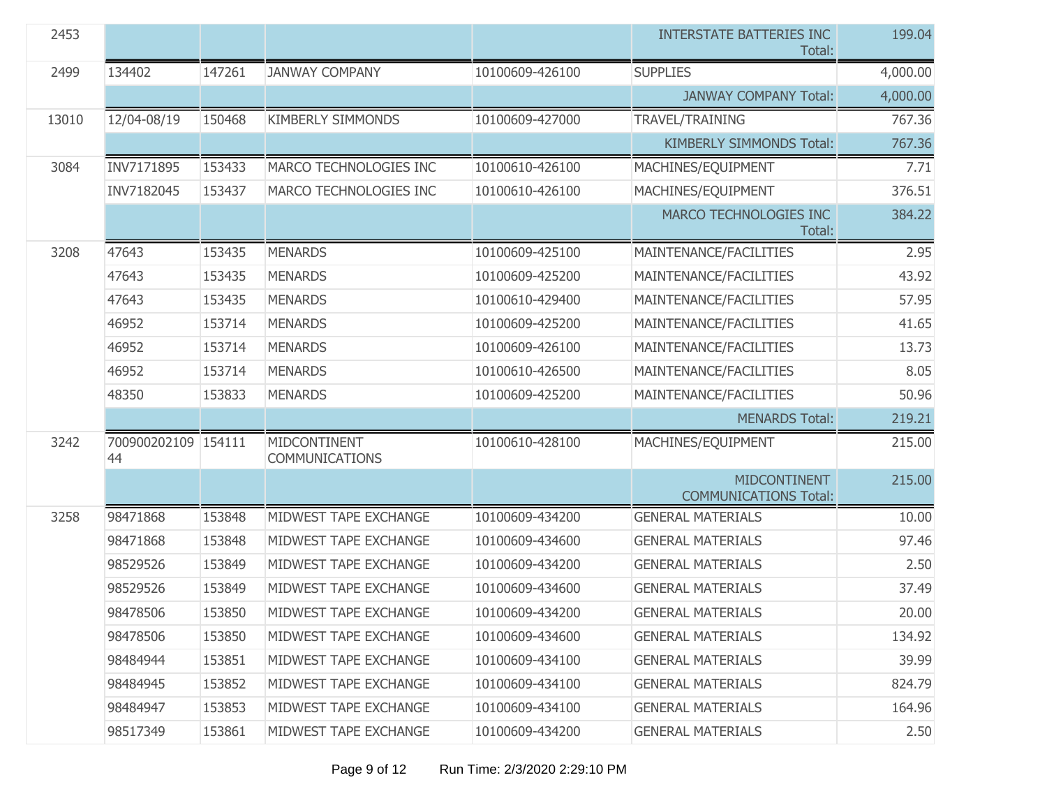| 2453  |                           |        |                                       |                 | <b>INTERSTATE BATTERIES INC</b><br>Total:    | 199.04   |
|-------|---------------------------|--------|---------------------------------------|-----------------|----------------------------------------------|----------|
| 2499  | 134402                    | 147261 | <b>JANWAY COMPANY</b>                 | 10100609-426100 | <b>SUPPLIES</b>                              | 4,000.00 |
|       |                           |        |                                       |                 | <b>JANWAY COMPANY Total:</b>                 | 4,000.00 |
| 13010 | 12/04-08/19               | 150468 | <b>KIMBERLY SIMMONDS</b>              | 10100609-427000 | TRAVEL/TRAINING                              | 767.36   |
|       |                           |        |                                       |                 | <b>KIMBERLY SIMMONDS Total:</b>              | 767.36   |
| 3084  | INV7171895                | 153433 | MARCO TECHNOLOGIES INC                | 10100610-426100 | MACHINES/EQUIPMENT                           | 7.71     |
|       | INV7182045                | 153437 | MARCO TECHNOLOGIES INC                | 10100610-426100 | MACHINES/EQUIPMENT                           | 376.51   |
|       |                           |        |                                       |                 | MARCO TECHNOLOGIES INC<br>Total:             | 384.22   |
| 3208  | 47643                     | 153435 | <b>MENARDS</b>                        | 10100609-425100 | MAINTENANCE/FACILITIES                       | 2.95     |
|       | 47643                     | 153435 | <b>MENARDS</b>                        | 10100609-425200 | MAINTENANCE/FACILITIES                       | 43.92    |
|       | 47643                     | 153435 | <b>MENARDS</b>                        | 10100610-429400 | MAINTENANCE/FACILITIES                       | 57.95    |
|       | 46952                     | 153714 | <b>MENARDS</b>                        | 10100609-425200 | MAINTENANCE/FACILITIES                       | 41.65    |
|       | 46952                     | 153714 | <b>MENARDS</b>                        | 10100609-426100 | MAINTENANCE/FACILITIES                       | 13.73    |
|       | 46952                     | 153714 | <b>MENARDS</b>                        | 10100610-426500 | MAINTENANCE/FACILITIES                       | 8.05     |
|       | 48350                     | 153833 | <b>MENARDS</b>                        | 10100609-425200 | MAINTENANCE/FACILITIES                       | 50.96    |
|       |                           |        |                                       |                 | <b>MENARDS Total:</b>                        | 219.21   |
| 3242  | 700900202109 154111<br>44 |        | MIDCONTINENT<br><b>COMMUNICATIONS</b> | 10100610-428100 | MACHINES/EQUIPMENT                           | 215.00   |
|       |                           |        |                                       |                 | MIDCONTINENT<br><b>COMMUNICATIONS Total:</b> | 215.00   |
| 3258  | 98471868                  | 153848 | MIDWEST TAPE EXCHANGE                 | 10100609-434200 | <b>GENERAL MATERIALS</b>                     | 10.00    |
|       | 98471868                  | 153848 | MIDWEST TAPE EXCHANGE                 | 10100609-434600 | <b>GENERAL MATERIALS</b>                     | 97.46    |
|       | 98529526                  | 153849 | MIDWEST TAPE EXCHANGE                 | 10100609-434200 | <b>GENERAL MATERIALS</b>                     | 2.50     |
|       | 98529526                  | 153849 | MIDWEST TAPE EXCHANGE                 | 10100609-434600 | <b>GENERAL MATERIALS</b>                     | 37.49    |
|       | 98478506                  | 153850 | MIDWEST TAPE EXCHANGE                 | 10100609-434200 | <b>GENERAL MATERIALS</b>                     | 20.00    |
|       | 98478506                  | 153850 | MIDWEST TAPE EXCHANGE                 | 10100609-434600 | <b>GENERAL MATERIALS</b>                     | 134.92   |
|       | 98484944                  | 153851 | MIDWEST TAPE EXCHANGE                 | 10100609-434100 | <b>GENERAL MATERIALS</b>                     | 39.99    |
|       | 98484945                  | 153852 | MIDWEST TAPE EXCHANGE                 | 10100609-434100 | <b>GENERAL MATERIALS</b>                     | 824.79   |
|       | 98484947                  | 153853 | MIDWEST TAPE EXCHANGE                 | 10100609-434100 | <b>GENERAL MATERIALS</b>                     | 164.96   |
|       | 98517349                  | 153861 | MIDWEST TAPE EXCHANGE                 | 10100609-434200 | <b>GENERAL MATERIALS</b>                     | 2.50     |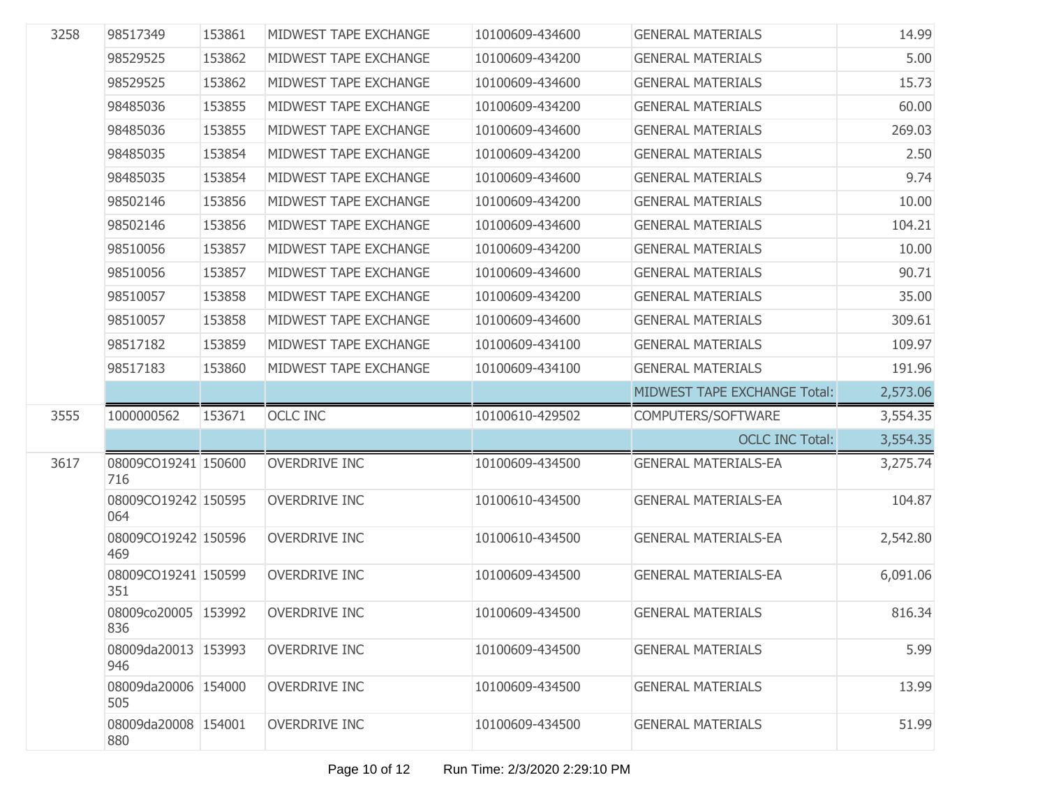| 3258 | 98517349                   | 153861 | MIDWEST TAPE EXCHANGE | 10100609-434600 | <b>GENERAL MATERIALS</b>     | 14.99    |
|------|----------------------------|--------|-----------------------|-----------------|------------------------------|----------|
|      | 98529525                   | 153862 | MIDWEST TAPE EXCHANGE | 10100609-434200 | <b>GENERAL MATERIALS</b>     | 5.00     |
|      | 98529525                   | 153862 | MIDWEST TAPE EXCHANGE | 10100609-434600 | <b>GENERAL MATERIALS</b>     | 15.73    |
|      | 98485036                   | 153855 | MIDWEST TAPE EXCHANGE | 10100609-434200 | <b>GENERAL MATERIALS</b>     | 60.00    |
|      | 98485036                   | 153855 | MIDWEST TAPE EXCHANGE | 10100609-434600 | <b>GENERAL MATERIALS</b>     | 269.03   |
|      | 98485035                   | 153854 | MIDWEST TAPE EXCHANGE | 10100609-434200 | <b>GENERAL MATERIALS</b>     | 2.50     |
|      | 98485035                   | 153854 | MIDWEST TAPE EXCHANGE | 10100609-434600 | <b>GENERAL MATERIALS</b>     | 9.74     |
|      | 98502146                   | 153856 | MIDWEST TAPE EXCHANGE | 10100609-434200 | <b>GENERAL MATERIALS</b>     | 10.00    |
|      | 98502146                   | 153856 | MIDWEST TAPE EXCHANGE | 10100609-434600 | <b>GENERAL MATERIALS</b>     | 104.21   |
|      | 98510056                   | 153857 | MIDWEST TAPE EXCHANGE | 10100609-434200 | <b>GENERAL MATERIALS</b>     | 10.00    |
|      | 98510056                   | 153857 | MIDWEST TAPE EXCHANGE | 10100609-434600 | <b>GENERAL MATERIALS</b>     | 90.71    |
|      | 98510057                   | 153858 | MIDWEST TAPE EXCHANGE | 10100609-434200 | <b>GENERAL MATERIALS</b>     | 35.00    |
|      | 98510057                   | 153858 | MIDWEST TAPE EXCHANGE | 10100609-434600 | <b>GENERAL MATERIALS</b>     | 309.61   |
|      | 98517182                   | 153859 | MIDWEST TAPE EXCHANGE | 10100609-434100 | <b>GENERAL MATERIALS</b>     | 109.97   |
|      | 98517183                   | 153860 | MIDWEST TAPE EXCHANGE | 10100609-434100 | <b>GENERAL MATERIALS</b>     | 191.96   |
|      |                            |        |                       |                 | MIDWEST TAPE EXCHANGE Total: | 2,573.06 |
| 3555 | 1000000562                 | 153671 | <b>OCLC INC</b>       | 10100610-429502 | COMPUTERS/SOFTWARE           | 3,554.35 |
|      |                            |        |                       |                 | <b>OCLC INC Total:</b>       | 3,554.35 |
| 3617 | 08009CO19241 150600<br>716 |        | <b>OVERDRIVE INC</b>  | 10100609-434500 | <b>GENERAL MATERIALS-EA</b>  | 3,275.74 |
|      | 08009CO19242 150595<br>064 |        | <b>OVERDRIVE INC</b>  | 10100610-434500 | <b>GENERAL MATERIALS-EA</b>  | 104.87   |
|      | 08009CO19242 150596<br>469 |        | <b>OVERDRIVE INC</b>  | 10100610-434500 | <b>GENERAL MATERIALS-EA</b>  | 2,542.80 |
|      | 08009CO19241 150599<br>351 |        | <b>OVERDRIVE INC</b>  | 10100609-434500 | <b>GENERAL MATERIALS-EA</b>  | 6,091.06 |
|      | 08009co20005 153992<br>836 |        | <b>OVERDRIVE INC</b>  | 10100609-434500 | <b>GENERAL MATERIALS</b>     | 816.34   |
|      | 08009da20013 153993<br>946 |        | <b>OVERDRIVE INC</b>  | 10100609-434500 | <b>GENERAL MATERIALS</b>     | 5.99     |
|      | 08009da20006 154000<br>505 |        | <b>OVERDRIVE INC</b>  | 10100609-434500 | <b>GENERAL MATERIALS</b>     | 13.99    |
|      | 08009da20008 154001        |        | <b>OVERDRIVE INC</b>  | 10100609-434500 | <b>GENERAL MATERIALS</b>     | 51.99    |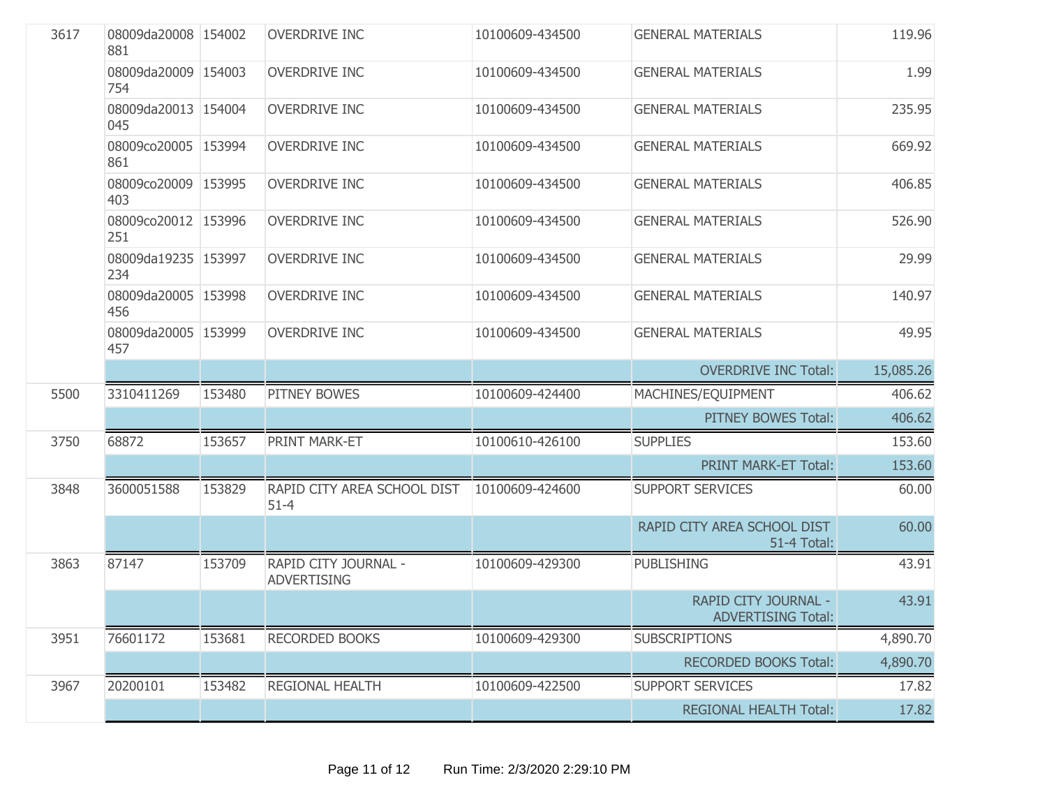| 3617 | 08009da20008 154002<br>881 |        | <b>OVERDRIVE INC</b>                       | 10100609-434500 | <b>GENERAL MATERIALS</b>                          | 119.96    |
|------|----------------------------|--------|--------------------------------------------|-----------------|---------------------------------------------------|-----------|
|      | 08009da20009 154003<br>754 |        | <b>OVERDRIVE INC</b>                       | 10100609-434500 | <b>GENERAL MATERIALS</b>                          | 1.99      |
|      | 08009da20013 154004<br>045 |        | <b>OVERDRIVE INC</b>                       | 10100609-434500 | <b>GENERAL MATERIALS</b>                          | 235.95    |
|      | 08009co20005 153994<br>861 |        | <b>OVERDRIVE INC</b>                       | 10100609-434500 | <b>GENERAL MATERIALS</b>                          | 669.92    |
|      | 08009co20009 153995<br>403 |        | <b>OVERDRIVE INC</b>                       | 10100609-434500 | <b>GENERAL MATERIALS</b>                          | 406.85    |
|      | 08009co20012 153996<br>251 |        | <b>OVERDRIVE INC</b>                       | 10100609-434500 | <b>GENERAL MATERIALS</b>                          | 526.90    |
|      | 08009da19235 153997<br>234 |        | <b>OVERDRIVE INC</b>                       | 10100609-434500 | <b>GENERAL MATERIALS</b>                          | 29.99     |
|      | 08009da20005 153998<br>456 |        | <b>OVERDRIVE INC</b>                       | 10100609-434500 | <b>GENERAL MATERIALS</b>                          | 140.97    |
|      | 08009da20005 153999<br>457 |        | <b>OVERDRIVE INC</b>                       | 10100609-434500 | <b>GENERAL MATERIALS</b>                          | 49.95     |
|      |                            |        |                                            |                 | <b>OVERDRIVE INC Total:</b>                       | 15,085.26 |
| 5500 | 3310411269                 | 153480 | PITNEY BOWES                               | 10100609-424400 | MACHINES/EQUIPMENT                                | 406.62    |
|      |                            |        |                                            |                 | PITNEY BOWES Total:                               | 406.62    |
| 3750 | 68872                      | 153657 | PRINT MARK-ET                              | 10100610-426100 | <b>SUPPLIES</b>                                   | 153.60    |
|      |                            |        |                                            |                 | PRINT MARK-ET Total:                              | 153.60    |
| 3848 | 3600051588                 | 153829 | RAPID CITY AREA SCHOOL DIST<br>$51 - 4$    | 10100609-424600 | <b>SUPPORT SERVICES</b>                           | 60.00     |
|      |                            |        |                                            |                 | RAPID CITY AREA SCHOOL DIST<br>51-4 Total:        | 60.00     |
| 3863 | 87147                      | 153709 | RAPID CITY JOURNAL -<br><b>ADVERTISING</b> | 10100609-429300 | <b>PUBLISHING</b>                                 | 43.91     |
|      |                            |        |                                            |                 | RAPID CITY JOURNAL -<br><b>ADVERTISING Total:</b> | 43.91     |
| 3951 | 76601172                   | 153681 | <b>RECORDED BOOKS</b>                      | 10100609-429300 | <b>SUBSCRIPTIONS</b>                              | 4,890.70  |
|      |                            |        |                                            |                 | <b>RECORDED BOOKS Total:</b>                      | 4,890.70  |
| 3967 | 20200101                   | 153482 | REGIONAL HEALTH                            | 10100609-422500 | <b>SUPPORT SERVICES</b>                           | 17.82     |
|      |                            |        |                                            |                 | <b>REGIONAL HEALTH Total:</b>                     | 17.82     |